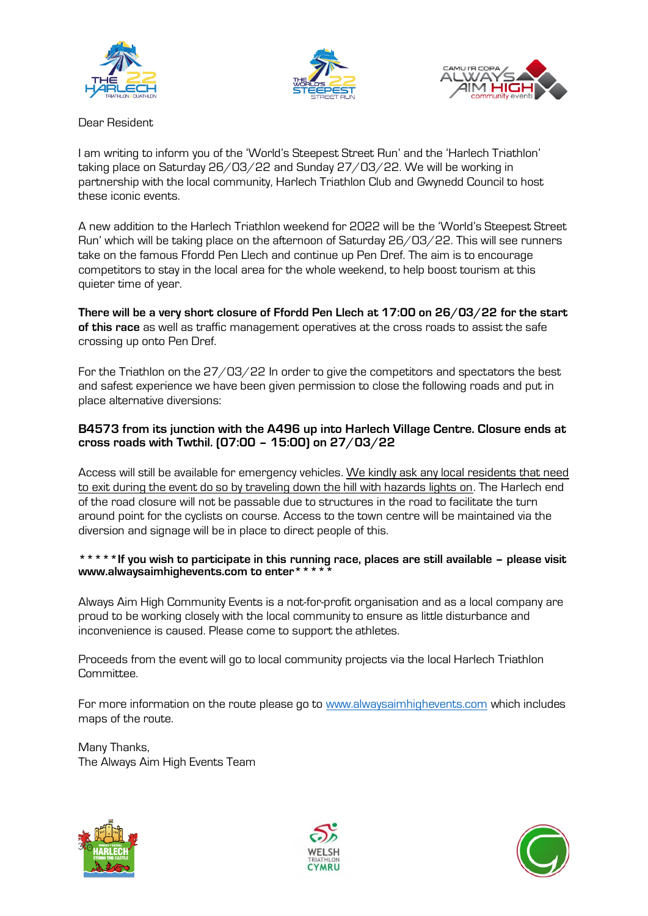





Dear Resident

I am writing to inform you of the 'World's Steepest Street Run' and the 'Harlech Triathlon' taking place on Saturday 26/03/22 and Sunday 27/03/22. We will be working in partnership with the local community, Harlech Triathlon Club and Gwynedd Council to host these iconic events.

A new addition to the Harlech Triathlon weekend for 2022 will be the 'World's Steepest Street Run' which will be taking place on the afternoon of Saturday 26/03/22. This will see runners take on the famous Ffordd Pen Llech and continue up Pen Dref. The aim is to encourage competitors to stay in the local area for the whole weekend, to help boost tourism at this quieter time of year.

**There will be a very short closure of Ffordd Pen Llech at 17:00 on 26/03/22 for the start of this race** as well as traffic management operatives at the cross roads to assist the safe crossing up onto Pen Dref.

For the Triathlon on the 27/03/22 In order to give the competitors and spectators the best and safest experience we have been given permission to close the following roads and put in place alternative diversions:

## **B4573 from its junction with the A496 up into Harlech Village Centre. Closure ends at cross roads with Twthil. (07:00 – 15:00) on 27/03/22**

Access will still be available for emergency vehicles. We kindly ask any local residents that need to exit during the event do so by traveling down the hill with hazards lights on. The Harlech end of the road closure will not be passable due to structures in the road to facilitate the turn around point for the cyclists on course. Access to the town centre will be maintained via the diversion and signage will be in place to direct people of this.

## **\*\*\*\*\*If you wish to participate in this running race, places are still available – please visit www.alwaysaimhighevents.com to enter\*\*\*\*\***

Always Aim High Community Events is a not-for-profit organisation and as a local company are proud to be working closely with the local community to ensure as little disturbance and inconvenience is caused. Please come to support the athletes.

Proceeds from the event will go to local community projects via the local Harlech Triathlon Committee.

For more information on the route please go to [www.alwaysaimhighevents.com](http://www.alwaysaimhighevents.com/) which includes maps of the route.

Many Thanks, The Always Aim High Events Team